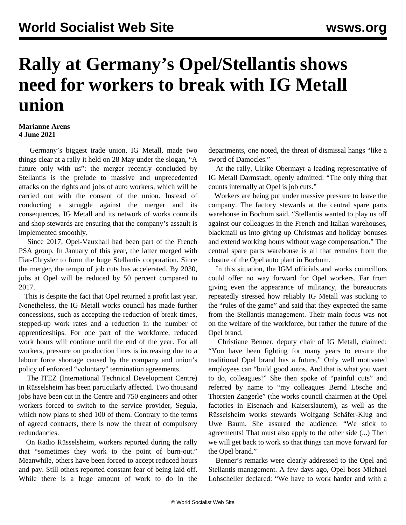## **Rally at Germany's Opel/Stellantis shows need for workers to break with IG Metall union**

## **Marianne Arens 4 June 2021**

 Germany's biggest trade union, IG Metall, made two things clear at a rally it held on 28 May under the slogan, "A future only with us": the merger recently concluded by Stellantis is the prelude to massive and unprecedented attacks on the rights and jobs of auto workers, which will be carried out with the consent of the union. Instead of conducting a struggle against the merger and its consequences, IG Metall and its network of works councils and shop stewards are ensuring that the company's assault is implemented smoothly.

 Since 2017, Opel-Vauxhall had been part of the French PSA group. In January of this year, the latter merged with Fiat-Chrysler to form the huge Stellantis corporation. Since the merger, the tempo of job cuts has accelerated. By 2030, jobs at Opel will be reduced by 50 percent compared to 2017.

 This is despite the fact that Opel returned a profit last year. Nonetheless, the IG Metall works council has made further concessions, such as accepting the reduction of break times, stepped-up work rates and a reduction in the number of apprenticeships. For one part of the workforce, reduced work hours will continue until the end of the year. For all workers, pressure on production lines is increasing due to a labour force shortage caused by the company and union's policy of enforced "voluntary" termination agreements.

 The ITEZ (International Technical Development Centre) in Rüsselsheim has been particularly affected. Two thousand jobs have been cut in the Centre and 750 engineers and other workers forced to switch to the service provider, Segula, which now plans to shed 100 of them. Contrary to the terms of agreed contracts, there is now the threat of compulsory redundancies.

 On Radio Rüsselsheim, workers reported during the rally that "sometimes they work to the point of burn-out." Meanwhile, others have been forced to accept reduced hours and pay. Still others reported constant fear of being laid off. While there is a huge amount of work to do in the departments, one noted, the threat of dismissal hangs "like a sword of Damocles."

 At the rally, Ulrike Obermayr a leading representative of IG Metall Darmstadt, openly admitted: "The only thing that counts internally at Opel is job cuts."

 Workers are being put under massive pressure to leave the company. The factory stewards at the central spare parts warehouse in Bochum said, "Stellantis wanted to play us off against our colleagues in the French and Italian warehouses, blackmail us into giving up Christmas and holiday bonuses and extend working hours without wage compensation." The central spare parts warehouse is all that remains from the closure of the Opel auto plant in Bochum.

 In this situation, the IGM officials and works councillors could offer no way forward for Opel workers. Far from giving even the appearance of militancy, the bureaucrats repeatedly stressed how reliably IG Metall was sticking to the "rules of the game" and said that they expected the same from the Stellantis management. Their main focus was not on the welfare of the workforce, but rather the future of the Opel brand.

 Christiane Benner, deputy chair of IG Metall, claimed: "You have been fighting for many years to ensure the traditional Opel brand has a future." Only well motivated employees can "build good autos. And that is what you want to do, colleagues!" She then spoke of "painful cuts" and referred by name to "my colleagues Bernd Lösche and Thorsten Zangerle" (the works council chairmen at the Opel factories in Eisenach and Kaiserslautern), as well as the Rüsselsheim works stewards Wolfgang Schäfer-Klug and Uwe Baum. She assured the audience: "We stick to agreements! That must also apply to the other side (...) Then we will get back to work so that things can move forward for the Opel brand."

 Benner's remarks were clearly addressed to the Opel and Stellantis management. A few days ago, Opel boss Michael Lohscheller declared: "We have to work harder and with a